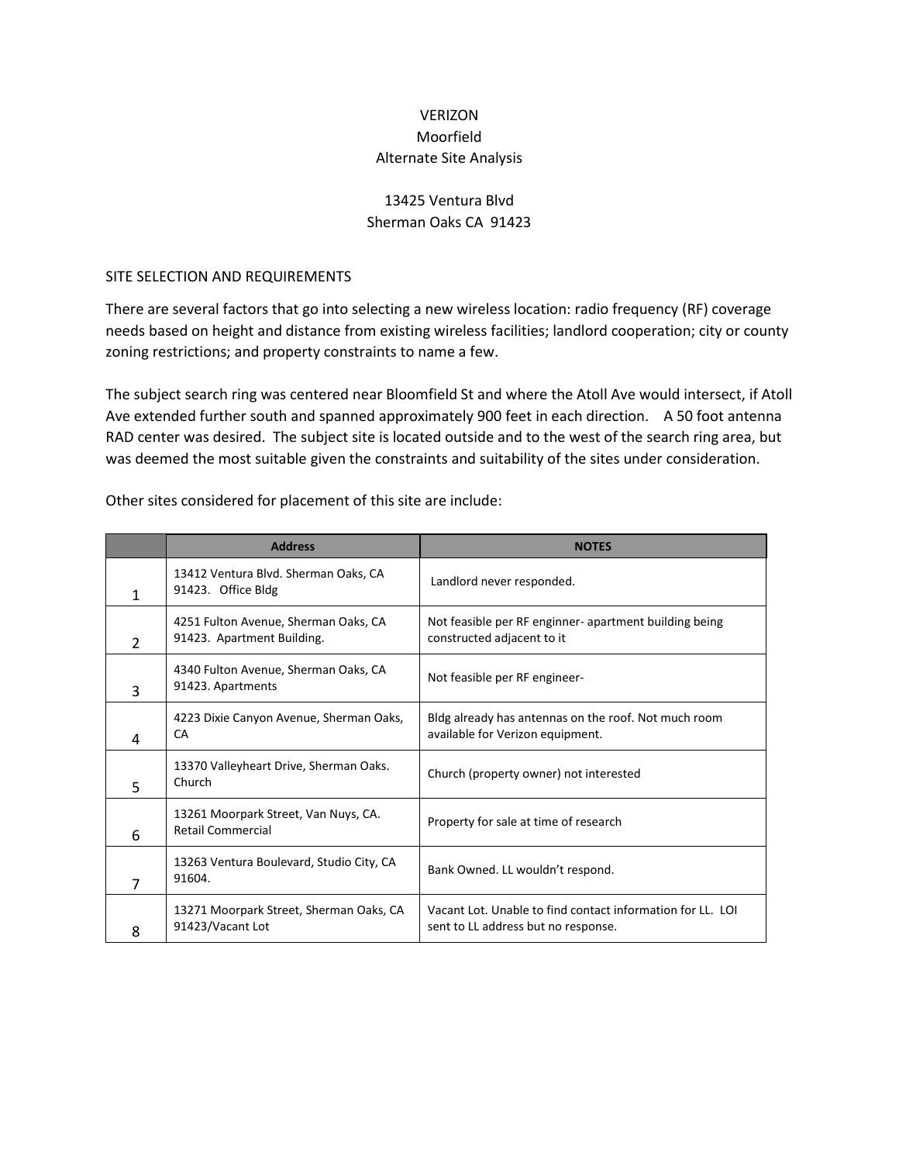## VERIZON Moorfield Alternate Site Analysis

## 13425 Ventura Blvd Sherman Oaks CA 91423

## SITE SELECTION AND REQUIREMENTS

There are several factors that go into selecting a new wireless location: radio frequency (RF) coverage needs based on height and distance from existing wireless facilities; landlord cooperation; city or county zoning restrictions; and property constraints to name a few.

The subject search ring was centered near Bloomfield St and where the Atoll Ave would intersect, if Atoll Ave extended further south and spanned approximately 900 feet in each direction. A 50 foot antenna RAD center was desired. The subject site is located outside and to the west of the search ring area, but was deemed the most suitable given the constraints and suitability of the sites under consideration.

|                | <b>Address</b>                                                     | <b>NOTES</b>                                                                                      |
|----------------|--------------------------------------------------------------------|---------------------------------------------------------------------------------------------------|
| 1              | 13412 Ventura Blvd. Sherman Oaks, CA<br>91423. Office Bldg         | Landlord never responded.                                                                         |
| $\overline{2}$ | 4251 Fulton Avenue, Sherman Oaks, CA<br>91423. Apartment Building. | Not feasible per RF enginner- apartment building being<br>constructed adjacent to it              |
| 3              | 4340 Fulton Avenue, Sherman Oaks, CA<br>91423. Apartments          | Not feasible per RF engineer-                                                                     |
| 4              | 4223 Dixie Canyon Avenue, Sherman Oaks,<br>CA                      | Bldg already has antennas on the roof. Not much room<br>available for Verizon equipment.          |
| 5              | 13370 Valleyheart Drive, Sherman Oaks.<br>Church                   | Church (property owner) not interested                                                            |
| 6              | 13261 Moorpark Street, Van Nuys, CA.<br><b>Retail Commercial</b>   | Property for sale at time of research                                                             |
| 7              | 13263 Ventura Boulevard, Studio City, CA<br>91604.                 | Bank Owned. LL wouldn't respond.                                                                  |
| 8              | 13271 Moorpark Street, Sherman Oaks, CA<br>91423/Vacant Lot        | Vacant Lot. Unable to find contact information for LL. LOI<br>sent to LL address but no response. |

Other sites considered for placement of this site are include: